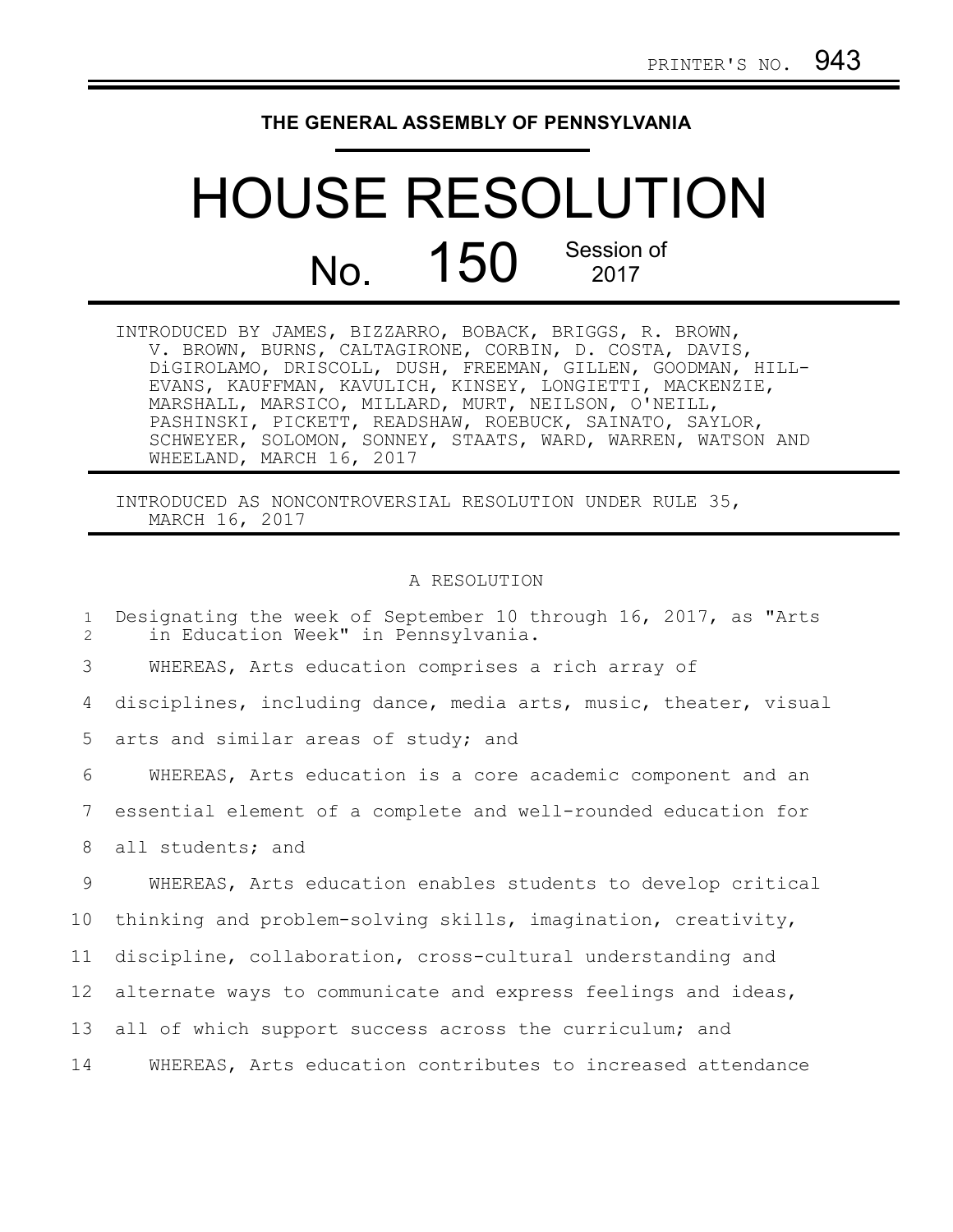## **THE GENERAL ASSEMBLY OF PENNSYLVANIA**

## HOUSE RESOLUTION No. 150 Session of 2017

| INTRODUCED BY JAMES, BIZZARRO, BOBACK, BRIGGS, R. BROWN,    |
|-------------------------------------------------------------|
| V. BROWN, BURNS, CALTAGIRONE, CORBIN, D. COSTA, DAVIS,      |
| DiGIROLAMO, DRISCOLL, DUSH, FREEMAN, GILLEN, GOODMAN, HILL- |
| EVANS, KAUFFMAN, KAVULICH, KINSEY, LONGIETTI, MACKENZIE,    |
| MARSHALL, MARSICO, MILLARD, MURT, NEILSON, O'NEILL,         |
| PASHINSKI, PICKETT, READSHAW, ROEBUCK, SAINATO, SAYLOR,     |
| SCHWEYER, SOLOMON, SONNEY, STAATS, WARD, WARREN, WATSON AND |
| WHEELAND, MARCH 16, 2017                                    |

INTRODUCED AS NONCONTROVERSIAL RESOLUTION UNDER RULE 35, MARCH 16, 2017

## A RESOLUTION

Designating the week of September 10 through 16, 2017, as "Arts in Education Week" in Pennsylvania. WHEREAS, Arts education comprises a rich array of disciplines, including dance, media arts, music, theater, visual arts and similar areas of study; and WHEREAS, Arts education is a core academic component and an essential element of a complete and well-rounded education for all students; and WHEREAS, Arts education enables students to develop critical thinking and problem-solving skills, imagination, creativity, discipline, collaboration, cross-cultural understanding and alternate ways to communicate and express feelings and ideas, all of which support success across the curriculum; and WHEREAS, Arts education contributes to increased attendance 1  $\mathfrak{D}$ 3 4 5 6 7 8 9 10 11 12 13 14